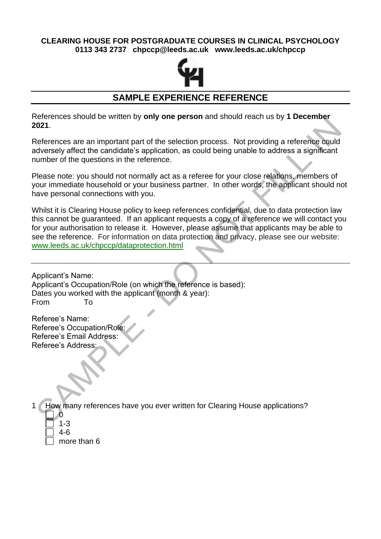## **CLEARING HOUSE FOR POSTGRADUATE COURSES IN CLINICAL PSYCHOLOGY 0113 343 2737 chpccp@leeds.ac.uk www.leeds.ac.uk/chpccp**



## **SAMPLE EXPERIENCE REFERENCE**

References should be written by **only one person** and should reach us by **1 December 2021**.

References are an important part of the selection process. Not providing a reference could adversely affect the candidate's application, as could being unable to address a significant number of the questions in the reference.

Please note: you should not normally act as a referee for your close relations, members of your immediate household or your business partner. In other words, the applicant should not have personal connections with you.

Whilst it is Clearing House policy to keep references confidential, due to data protection law this cannot be guaranteed. If an applicant requests a copy of a reference we will contact you for your authorisation to release it. However, please assume that applicants may be able to see the reference. For information on data protection and privacy, please see our website: [www.leeds.ac.uk/chpccp/dataprotection.html](https://www.leeds.ac.uk/chpccp/dataprotection.html)

Applicant's Name: Applicant's Occupation/Role (on which the reference is based): Dates you worked with the applicant (month & year): From To

Referee's Name: Referee's Occupation/Role: Referee's Email Address: Referee's Address:

1 How many references have you ever written for Clearing House applications?

- 0 1-3
- 4-6

more than 6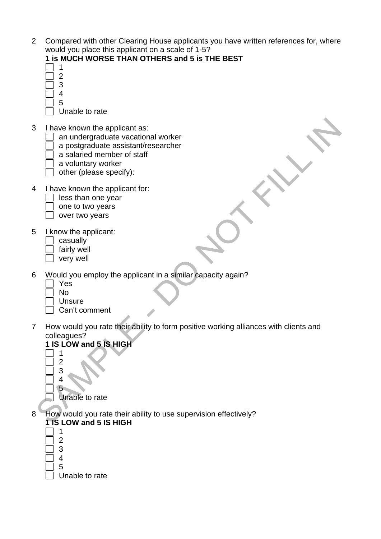| 2 Compared with other Clearing House applicants you have written references for, where |
|----------------------------------------------------------------------------------------|
| would you place this applicant on a scale of 1-5?                                      |

|   | would you place this applicant on a scale of 1-5?                                    |  |
|---|--------------------------------------------------------------------------------------|--|
|   | 1 is MUCH WORSE THAN OTHERS and 5 is THE BEST<br>1<br>2                              |  |
|   | 3                                                                                    |  |
|   | 4<br>5                                                                               |  |
|   | Unable to rate                                                                       |  |
| 3 | I have known the applicant as:                                                       |  |
|   | an undergraduate vacational worker                                                   |  |
|   | a postgraduate assistant/researcher                                                  |  |
|   | a salaried member of staff<br>a voluntary worker                                     |  |
|   | other (please specify):                                                              |  |
| 4 |                                                                                      |  |
|   | I have known the applicant for:<br>less than one year                                |  |
|   | one to two years                                                                     |  |
|   | over two years                                                                       |  |
| 5 | I know the applicant:                                                                |  |
|   | casually                                                                             |  |
|   | fairly well                                                                          |  |
|   | very well                                                                            |  |
| 6 | Would you employ the applicant in a similar capacity again?                          |  |
|   | Yes                                                                                  |  |
|   | <b>No</b><br><b>Unsure</b>                                                           |  |
|   | Can't comment                                                                        |  |
| 7 | How would you rate their ability to form positive working alliances with clients and |  |
|   | colleagues?                                                                          |  |
|   | 1 IS LOW and 5 IS HIGH                                                               |  |
|   | 2                                                                                    |  |
|   | 3                                                                                    |  |
|   | 4                                                                                    |  |
|   | 5<br>Unable to rate                                                                  |  |
|   |                                                                                      |  |
| 8 | How would you rate their ability to use supervision effectively?                     |  |
|   | <b>TTS LOW and 5 IS HIGH</b><br>1                                                    |  |
|   |                                                                                      |  |

 $\Box$ 

Unable to rate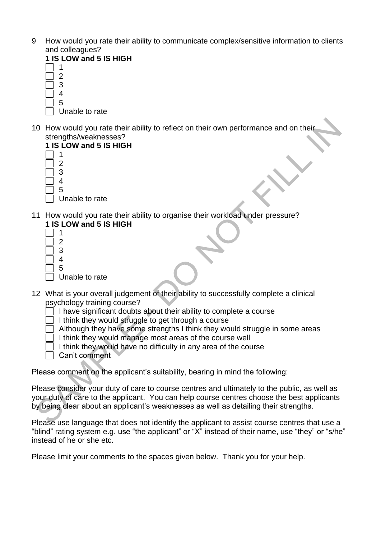- 9 How would you rate their ability to communicate complex/sensitive information to clients and colleagues?
	- **1 IS LOW and 5 IS HIGH**
	- 1  $\mathfrak{p}$ 3 4 5
		- Unable to rate
- 10 How would you rate their ability to reflect on their own performance and on their strengths/weaknesses?



- Unable to rate
- 11 How would you rate their ability to organise their workload under pressure? **1 IS LOW and 5 IS HIGH**
	- 1 2 3 4 5 Unable to rate
- 12 What is your overall judgement of their ability to successfully complete a clinical psychology training course?
	- I have significant doubts about their ability to complete a course
	- I think they would struggle to get through a course
	- Although they have some strengths I think they would struggle in some areas
	- I think they would manage most areas of the course well
	- I think they would have no difficulty in any area of the course
	- Can't comment

Please comment on the applicant's suitability, bearing in mind the following:

Please consider your duty of care to course centres and ultimately to the public, as well as your duty of care to the applicant. You can help course centres choose the best applicants by being clear about an applicant's weaknesses as well as detailing their strengths.

Please use language that does not identify the applicant to assist course centres that use a "blind" rating system e.g. use "the applicant" or "X" instead of their name, use "they" or "s/he" instead of he or she etc.

Please limit your comments to the spaces given below. Thank you for your help.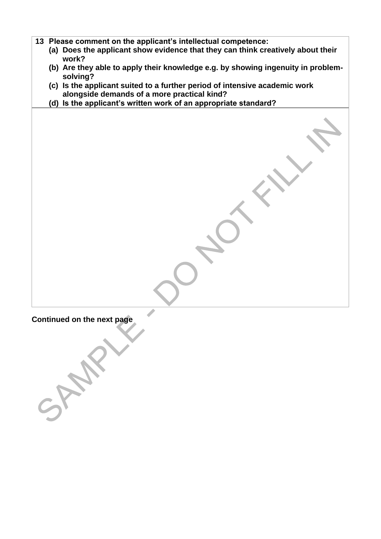- **13 Please comment on the applicant's intellectual competence:**
	- **(a) Does the applicant show evidence that they can think creatively about their work?**
	- **(b) Are they able to apply their knowledge e.g. by showing ingenuity in problemsolving?**
	- **(c) Is the applicant suited to a further period of intensive academic work alongside demands of a more practical kind?**
	- **(d) Is the applicant's written work of an appropriate standard?**

**Continued on the next page**